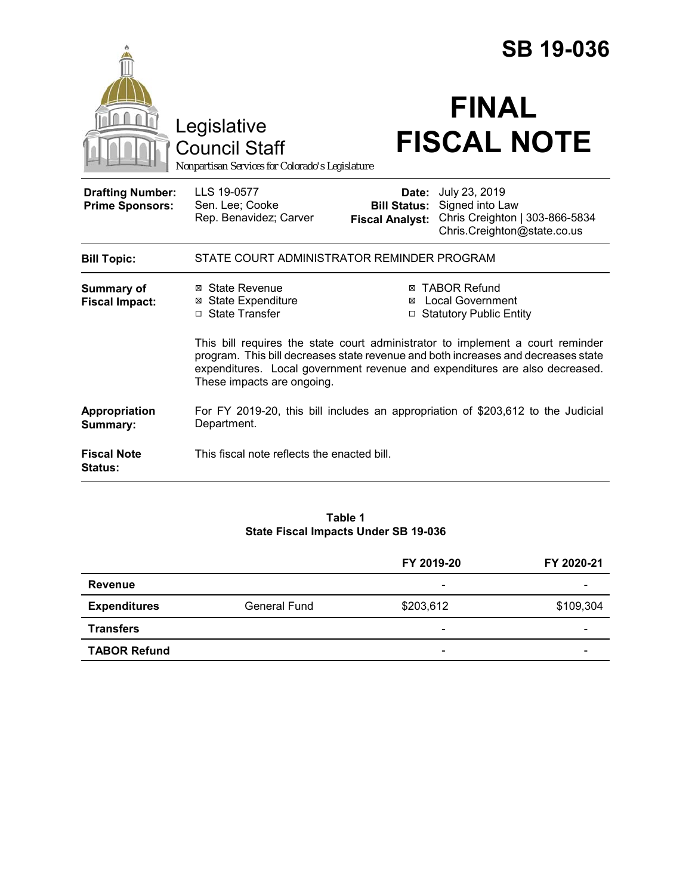|                                                   |                                                                                                                                                                                                                                                                                  |                                                        | <b>SB 19-036</b>                                                                                  |  |
|---------------------------------------------------|----------------------------------------------------------------------------------------------------------------------------------------------------------------------------------------------------------------------------------------------------------------------------------|--------------------------------------------------------|---------------------------------------------------------------------------------------------------|--|
|                                                   | Legislative<br><b>Council Staff</b><br>Nonpartisan Services for Colorado's Legislature                                                                                                                                                                                           |                                                        | <b>FINAL</b><br><b>FISCAL NOTE</b>                                                                |  |
| <b>Drafting Number:</b><br><b>Prime Sponsors:</b> | LLS 19-0577<br>Sen. Lee; Cooke<br>Rep. Benavidez; Carver                                                                                                                                                                                                                         | Date:<br><b>Bill Status:</b><br><b>Fiscal Analyst:</b> | July 23, 2019<br>Signed into Law<br>Chris Creighton   303-866-5834<br>Chris.Creighton@state.co.us |  |
| <b>Bill Topic:</b>                                | STATE COURT ADMINISTRATOR REMINDER PROGRAM                                                                                                                                                                                                                                       |                                                        |                                                                                                   |  |
| <b>Summary of</b><br><b>Fiscal Impact:</b>        | ⊠ State Revenue<br><b>State Expenditure</b><br>⊠<br>□ State Transfer                                                                                                                                                                                                             | ⊠                                                      | <b>⊠ TABOR Refund</b><br><b>Local Government</b><br>□ Statutory Public Entity                     |  |
|                                                   | This bill requires the state court administrator to implement a court reminder<br>program. This bill decreases state revenue and both increases and decreases state<br>expenditures. Local government revenue and expenditures are also decreased.<br>These impacts are ongoing. |                                                        |                                                                                                   |  |
| Appropriation<br>Summary:                         | For FY 2019-20, this bill includes an appropriation of \$203,612 to the Judicial<br>Department.                                                                                                                                                                                  |                                                        |                                                                                                   |  |
| <b>Fiscal Note</b><br><b>Status:</b>              | This fiscal note reflects the enacted bill.                                                                                                                                                                                                                                      |                                                        |                                                                                                   |  |

#### **Table 1 State Fiscal Impacts Under SB 19-036**

|                     |                     | FY 2019-20               | FY 2020-21               |
|---------------------|---------------------|--------------------------|--------------------------|
| <b>Revenue</b>      |                     | -                        |                          |
| <b>Expenditures</b> | <b>General Fund</b> | \$203,612                | \$109,304                |
| <b>Transfers</b>    |                     | $\overline{\phantom{0}}$ | $\overline{\phantom{a}}$ |
| <b>TABOR Refund</b> |                     | -                        |                          |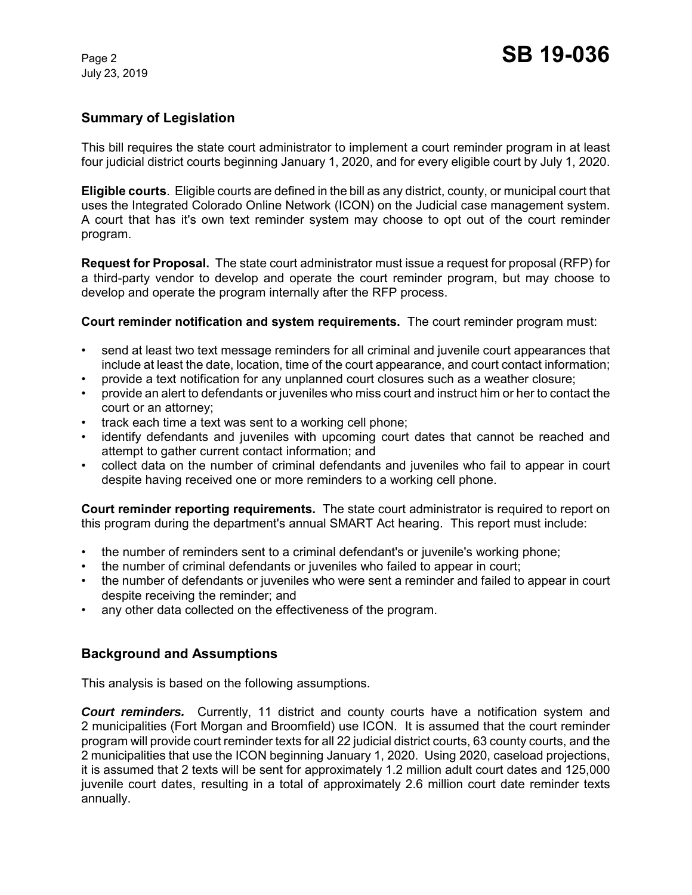July 23, 2019

### **Summary of Legislation**

This bill requires the state court administrator to implement a court reminder program in at least four judicial district courts beginning January 1, 2020, and for every eligible court by July 1, 2020.

**Eligible courts**. Eligible courts are defined in the bill as any district, county, or municipal court that uses the Integrated Colorado Online Network (ICON) on the Judicial case management system. A court that has it's own text reminder system may choose to opt out of the court reminder program.

**Request for Proposal.** The state court administrator must issue a request for proposal (RFP) for a third-party vendor to develop and operate the court reminder program, but may choose to develop and operate the program internally after the RFP process.

**Court reminder notification and system requirements.** The court reminder program must:

- send at least two text message reminders for all criminal and juvenile court appearances that include at least the date, location, time of the court appearance, and court contact information;
- provide a text notification for any unplanned court closures such as a weather closure;
- provide an alert to defendants or juveniles who miss court and instruct him or her to contact the court or an attorney;
- track each time a text was sent to a working cell phone;
- identify defendants and juveniles with upcoming court dates that cannot be reached and attempt to gather current contact information; and
- collect data on the number of criminal defendants and juveniles who fail to appear in court despite having received one or more reminders to a working cell phone.

**Court reminder reporting requirements.** The state court administrator is required to report on this program during the department's annual SMART Act hearing. This report must include:

- the number of reminders sent to a criminal defendant's or juvenile's working phone;
- the number of criminal defendants or juveniles who failed to appear in court;
- the number of defendants or juveniles who were sent a reminder and failed to appear in court despite receiving the reminder; and
- any other data collected on the effectiveness of the program.

#### **Background and Assumptions**

This analysis is based on the following assumptions.

*Court reminders.* Currently, 11 district and county courts have a notification system and 2 municipalities (Fort Morgan and Broomfield) use ICON. It is assumed that the court reminder program will provide court reminder texts for all 22 judicial district courts, 63 county courts, and the 2 municipalities that use the ICON beginning January 1, 2020. Using 2020, caseload projections, it is assumed that 2 texts will be sent for approximately 1.2 million adult court dates and 125,000 juvenile court dates, resulting in a total of approximately 2.6 million court date reminder texts annually.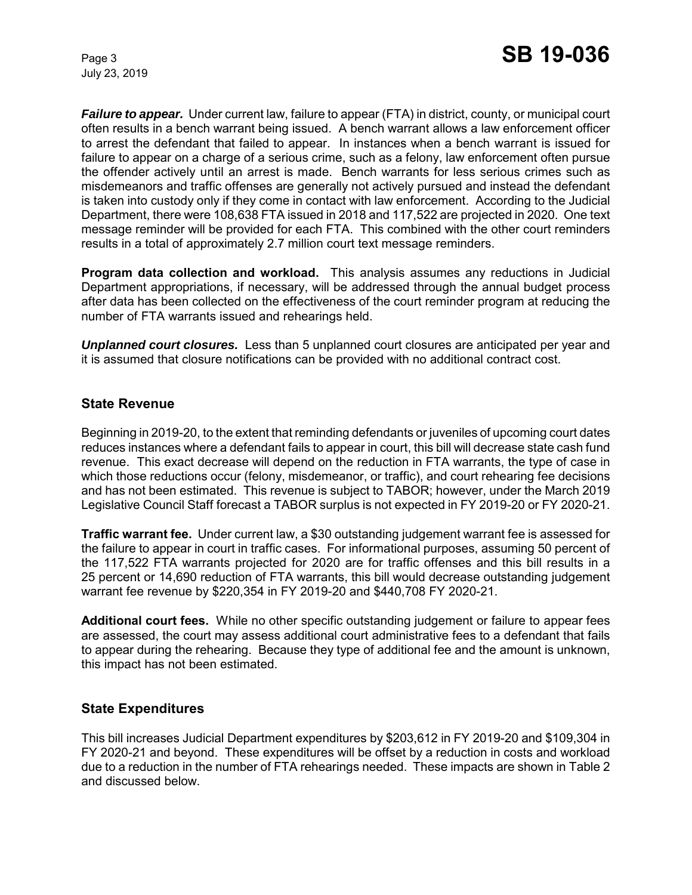July 23, 2019

*Failure to appear.* Under current law, failure to appear (FTA) in district, county, or municipal court often results in a bench warrant being issued. A bench warrant allows a law enforcement officer to arrest the defendant that failed to appear. In instances when a bench warrant is issued for failure to appear on a charge of a serious crime, such as a felony, law enforcement often pursue the offender actively until an arrest is made. Bench warrants for less serious crimes such as misdemeanors and traffic offenses are generally not actively pursued and instead the defendant is taken into custody only if they come in contact with law enforcement. According to the Judicial Department, there were 108,638 FTA issued in 2018 and 117,522 are projected in 2020. One text message reminder will be provided for each FTA. This combined with the other court reminders results in a total of approximately 2.7 million court text message reminders.

**Program data collection and workload.** This analysis assumes any reductions in Judicial Department appropriations, if necessary, will be addressed through the annual budget process after data has been collected on the effectiveness of the court reminder program at reducing the number of FTA warrants issued and rehearings held.

*Unplanned court closures.* Less than 5 unplanned court closures are anticipated per year and it is assumed that closure notifications can be provided with no additional contract cost.

### **State Revenue**

Beginning in 2019-20, to the extent that reminding defendants or juveniles of upcoming court dates reduces instances where a defendant fails to appear in court, this bill will decrease state cash fund revenue. This exact decrease will depend on the reduction in FTA warrants, the type of case in which those reductions occur (felony, misdemeanor, or traffic), and court rehearing fee decisions and has not been estimated. This revenue is subject to TABOR; however, under the March 2019 Legislative Council Staff forecast a TABOR surplus is not expected in FY 2019-20 or FY 2020-21.

**Traffic warrant fee.** Under current law, a \$30 outstanding judgement warrant fee is assessed for the failure to appear in court in traffic cases. For informational purposes, assuming 50 percent of the 117,522 FTA warrants projected for 2020 are for traffic offenses and this bill results in a 25 percent or 14,690 reduction of FTA warrants, this bill would decrease outstanding judgement warrant fee revenue by \$220,354 in FY 2019-20 and \$440,708 FY 2020-21.

**Additional court fees.** While no other specific outstanding judgement or failure to appear fees are assessed, the court may assess additional court administrative fees to a defendant that fails to appear during the rehearing. Because they type of additional fee and the amount is unknown, this impact has not been estimated.

# **State Expenditures**

This bill increases Judicial Department expenditures by \$203,612 in FY 2019-20 and \$109,304 in FY 2020-21 and beyond. These expenditures will be offset by a reduction in costs and workload due to a reduction in the number of FTA rehearings needed. These impacts are shown in Table 2 and discussed below.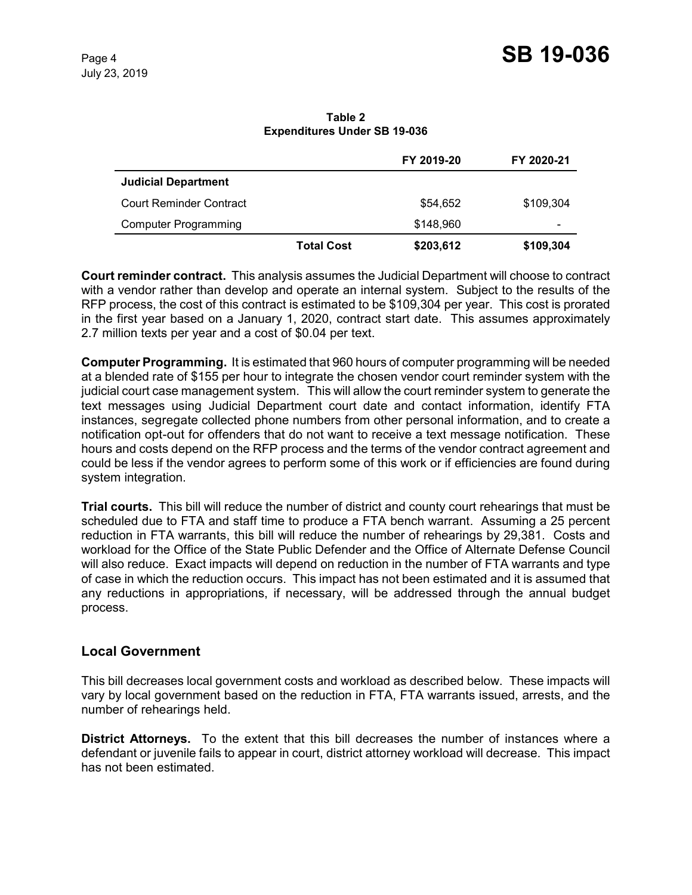**Table 2 Expenditures Under SB 19-036**

|                                |                   | FY 2019-20 | FY 2020-21               |
|--------------------------------|-------------------|------------|--------------------------|
| <b>Judicial Department</b>     |                   |            |                          |
| <b>Court Reminder Contract</b> |                   | \$54,652   | \$109,304                |
| <b>Computer Programming</b>    |                   | \$148,960  | $\overline{\phantom{0}}$ |
|                                | <b>Total Cost</b> | \$203,612  | \$109,304                |

**Court reminder contract.** This analysis assumes the Judicial Department will choose to contract with a vendor rather than develop and operate an internal system. Subject to the results of the RFP process, the cost of this contract is estimated to be \$109,304 per year. This cost is prorated in the first year based on a January 1, 2020, contract start date. This assumes approximately 2.7 million texts per year and a cost of \$0.04 per text.

**Computer Programming.** It is estimated that 960 hours of computer programming will be needed at a blended rate of \$155 per hour to integrate the chosen vendor court reminder system with the judicial court case management system. This will allow the court reminder system to generate the text messages using Judicial Department court date and contact information, identify FTA instances, segregate collected phone numbers from other personal information, and to create a notification opt-out for offenders that do not want to receive a text message notification. These hours and costs depend on the RFP process and the terms of the vendor contract agreement and could be less if the vendor agrees to perform some of this work or if efficiencies are found during system integration.

**Trial courts.** This bill will reduce the number of district and county court rehearings that must be scheduled due to FTA and staff time to produce a FTA bench warrant. Assuming a 25 percent reduction in FTA warrants, this bill will reduce the number of rehearings by 29,381. Costs and workload for the Office of the State Public Defender and the Office of Alternate Defense Council will also reduce. Exact impacts will depend on reduction in the number of FTA warrants and type of case in which the reduction occurs. This impact has not been estimated and it is assumed that any reductions in appropriations, if necessary, will be addressed through the annual budget process.

# **Local Government**

This bill decreases local government costs and workload as described below. These impacts will vary by local government based on the reduction in FTA, FTA warrants issued, arrests, and the number of rehearings held.

**District Attorneys.** To the extent that this bill decreases the number of instances where a defendant or juvenile fails to appear in court, district attorney workload will decrease. This impact has not been estimated.